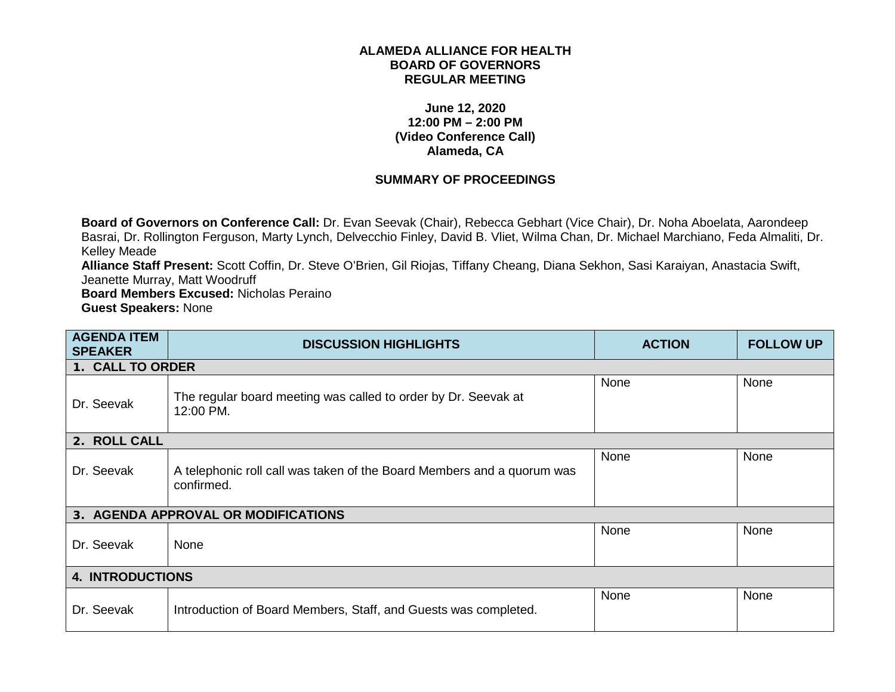## **ALAMEDA ALLIANCE FOR HEALTH BOARD OF GOVERNORS REGULAR MEETING**

## **June 12, 2020 12:00 PM – 2:00 PM (Video Conference Call) Alameda, CA**

## **SUMMARY OF PROCEEDINGS**

**Board of Governors on Conference Call:** Dr. Evan Seevak (Chair), Rebecca Gebhart (Vice Chair), Dr. Noha Aboelata, Aarondeep Basrai, Dr. Rollington Ferguson, Marty Lynch, Delvecchio Finley, David B. Vliet, Wilma Chan, Dr. Michael Marchiano, Feda Almaliti, Dr. Kelley Meade

**Alliance Staff Present:** Scott Coffin, Dr. Steve O'Brien, Gil Riojas, Tiffany Cheang, Diana Sekhon, Sasi Karaiyan, Anastacia Swift, Jeanette Murray, Matt Woodruff

**Board Members Excused:** Nicholas Peraino **Guest Speakers:** None

| <b>AGENDA ITEM</b><br><b>SPEAKER</b> | <b>DISCUSSION HIGHLIGHTS</b>                                                         | <b>ACTION</b> | <b>FOLLOW UP</b> |
|--------------------------------------|--------------------------------------------------------------------------------------|---------------|------------------|
| 1. CALL TO ORDER                     |                                                                                      |               |                  |
| Dr. Seevak                           | The regular board meeting was called to order by Dr. Seevak at<br>12:00 PM.          | None          | None             |
| 2. ROLL CALL                         |                                                                                      |               |                  |
| Dr. Seevak                           | A telephonic roll call was taken of the Board Members and a quorum was<br>confirmed. | None          | None             |
|                                      | 3. AGENDA APPROVAL OR MODIFICATIONS                                                  |               |                  |
| Dr. Seevak                           | None                                                                                 | None          | None             |
| <b>4. INTRODUCTIONS</b>              |                                                                                      |               |                  |
| Dr. Seevak                           | Introduction of Board Members, Staff, and Guests was completed.                      | None          | None             |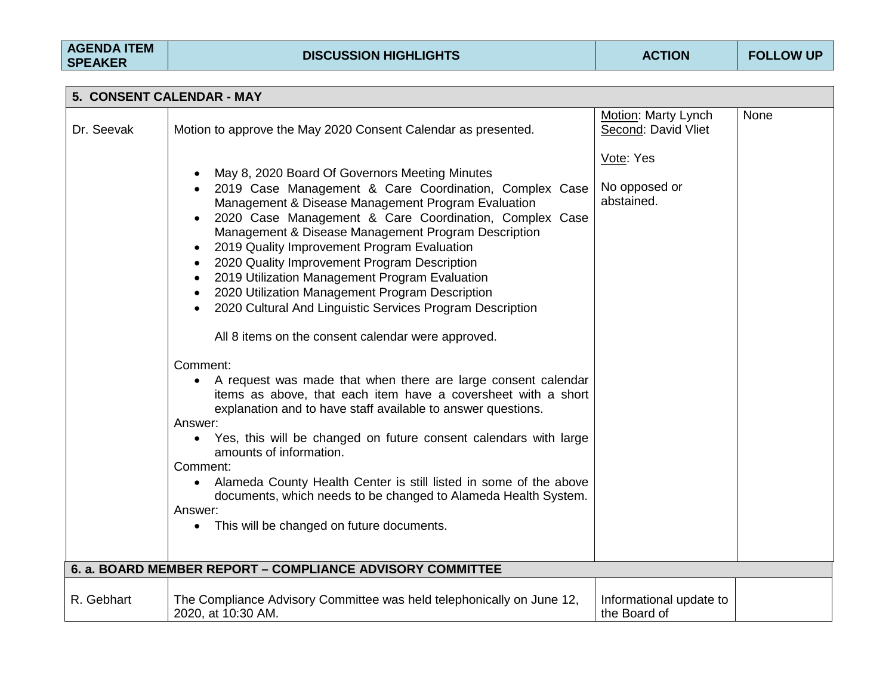| 5. CONSENT CALENDAR - MAY |                                                                                                                                                                                                                                                                                                                                                                                                                                                                                                                                                                                                                                                                                                                                                                                                                                                                                                                                                                                                                                                                                                                                                                         |                                            |      |  |
|---------------------------|-------------------------------------------------------------------------------------------------------------------------------------------------------------------------------------------------------------------------------------------------------------------------------------------------------------------------------------------------------------------------------------------------------------------------------------------------------------------------------------------------------------------------------------------------------------------------------------------------------------------------------------------------------------------------------------------------------------------------------------------------------------------------------------------------------------------------------------------------------------------------------------------------------------------------------------------------------------------------------------------------------------------------------------------------------------------------------------------------------------------------------------------------------------------------|--------------------------------------------|------|--|
| Dr. Seevak                | Motion to approve the May 2020 Consent Calendar as presented.                                                                                                                                                                                                                                                                                                                                                                                                                                                                                                                                                                                                                                                                                                                                                                                                                                                                                                                                                                                                                                                                                                           | Motion: Marty Lynch<br>Second: David Vliet | None |  |
|                           | May 8, 2020 Board Of Governors Meeting Minutes<br>2019 Case Management & Care Coordination, Complex Case<br>Management & Disease Management Program Evaluation<br>2020 Case Management & Care Coordination, Complex Case<br>Management & Disease Management Program Description<br>2019 Quality Improvement Program Evaluation<br>2020 Quality Improvement Program Description<br>2019 Utilization Management Program Evaluation<br>2020 Utilization Management Program Description<br>2020 Cultural And Linguistic Services Program Description<br>All 8 items on the consent calendar were approved.<br>Comment:<br>A request was made that when there are large consent calendar<br>$\bullet$<br>items as above, that each item have a coversheet with a short<br>explanation and to have staff available to answer questions.<br>Answer:<br>• Yes, this will be changed on future consent calendars with large<br>amounts of information.<br>Comment:<br>Alameda County Health Center is still listed in some of the above<br>$\bullet$<br>documents, which needs to be changed to Alameda Health System.<br>Answer:<br>• This will be changed on future documents. | Vote: Yes<br>No opposed or<br>abstained.   |      |  |
|                           | 6. a. BOARD MEMBER REPORT - COMPLIANCE ADVISORY COMMITTEE                                                                                                                                                                                                                                                                                                                                                                                                                                                                                                                                                                                                                                                                                                                                                                                                                                                                                                                                                                                                                                                                                                               |                                            |      |  |
| R. Gebhart                | The Compliance Advisory Committee was held telephonically on June 12,<br>2020, at 10:30 AM.                                                                                                                                                                                                                                                                                                                                                                                                                                                                                                                                                                                                                                                                                                                                                                                                                                                                                                                                                                                                                                                                             | Informational update to<br>the Board of    |      |  |
|                           |                                                                                                                                                                                                                                                                                                                                                                                                                                                                                                                                                                                                                                                                                                                                                                                                                                                                                                                                                                                                                                                                                                                                                                         |                                            |      |  |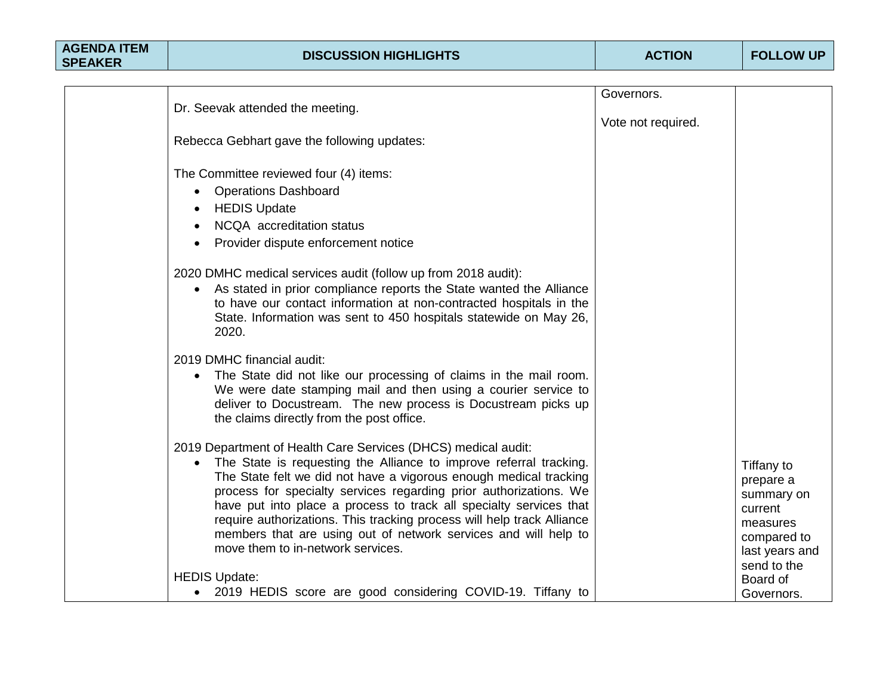|                                                                                                                                                                                                                                                                                                                                                                                                                                                                                                                                       | Governors.         |                                                                                               |
|---------------------------------------------------------------------------------------------------------------------------------------------------------------------------------------------------------------------------------------------------------------------------------------------------------------------------------------------------------------------------------------------------------------------------------------------------------------------------------------------------------------------------------------|--------------------|-----------------------------------------------------------------------------------------------|
| Dr. Seevak attended the meeting.                                                                                                                                                                                                                                                                                                                                                                                                                                                                                                      |                    |                                                                                               |
|                                                                                                                                                                                                                                                                                                                                                                                                                                                                                                                                       | Vote not required. |                                                                                               |
| Rebecca Gebhart gave the following updates:                                                                                                                                                                                                                                                                                                                                                                                                                                                                                           |                    |                                                                                               |
|                                                                                                                                                                                                                                                                                                                                                                                                                                                                                                                                       |                    |                                                                                               |
| The Committee reviewed four (4) items:                                                                                                                                                                                                                                                                                                                                                                                                                                                                                                |                    |                                                                                               |
| <b>Operations Dashboard</b><br>$\bullet$                                                                                                                                                                                                                                                                                                                                                                                                                                                                                              |                    |                                                                                               |
| <b>HEDIS Update</b>                                                                                                                                                                                                                                                                                                                                                                                                                                                                                                                   |                    |                                                                                               |
| NCQA accreditation status                                                                                                                                                                                                                                                                                                                                                                                                                                                                                                             |                    |                                                                                               |
| Provider dispute enforcement notice                                                                                                                                                                                                                                                                                                                                                                                                                                                                                                   |                    |                                                                                               |
| 2020 DMHC medical services audit (follow up from 2018 audit):<br>As stated in prior compliance reports the State wanted the Alliance<br>to have our contact information at non-contracted hospitals in the<br>State. Information was sent to 450 hospitals statewide on May 26,<br>2020.                                                                                                                                                                                                                                              |                    |                                                                                               |
| 2019 DMHC financial audit:<br>The State did not like our processing of claims in the mail room.<br>We were date stamping mail and then using a courier service to<br>deliver to Docustream. The new process is Docustream picks up<br>the claims directly from the post office.                                                                                                                                                                                                                                                       |                    |                                                                                               |
| 2019 Department of Health Care Services (DHCS) medical audit:<br>The State is requesting the Alliance to improve referral tracking.<br>The State felt we did not have a vigorous enough medical tracking<br>process for specialty services regarding prior authorizations. We<br>have put into place a process to track all specialty services that<br>require authorizations. This tracking process will help track Alliance<br>members that are using out of network services and will help to<br>move them to in-network services. |                    | Tiffany to<br>prepare a<br>summary on<br>current<br>measures<br>compared to<br>last years and |
| <b>HEDIS Update:</b>                                                                                                                                                                                                                                                                                                                                                                                                                                                                                                                  |                    | send to the<br>Board of                                                                       |
| • 2019 HEDIS score are good considering COVID-19. Tiffany to                                                                                                                                                                                                                                                                                                                                                                                                                                                                          |                    | Governors.                                                                                    |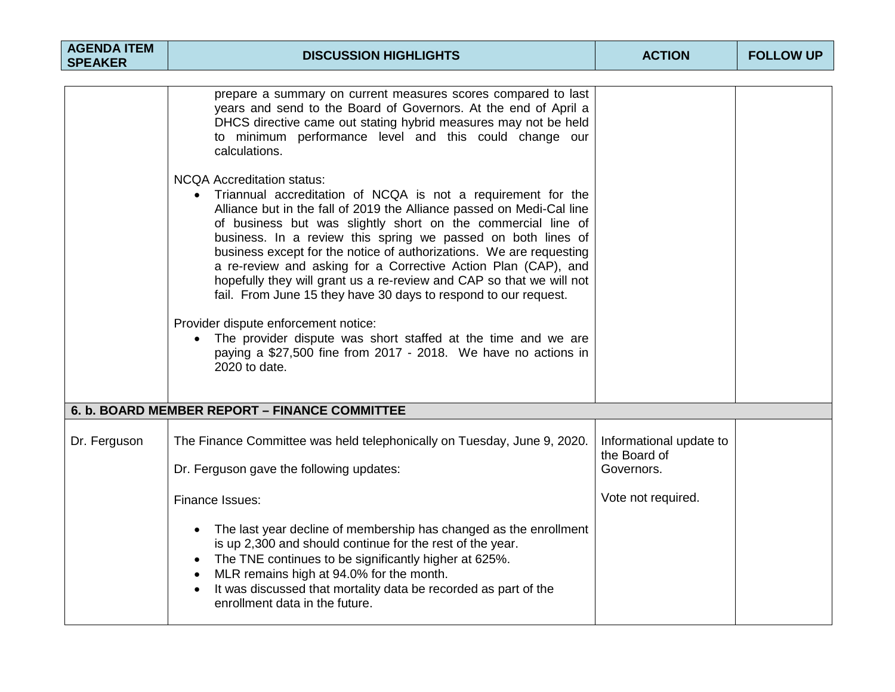| <b>AGENDA ITEM</b><br><b>SPEAKER</b> | <b>DISCUSSION HIGHLIGHTS</b>                                                                                                                                                                                                                                                                                                                                                                                                                                                                                                                                                                                                                                                                                                                                                               | <b>ACTION</b>                                         | <b>FOLLOW UP</b> |
|--------------------------------------|--------------------------------------------------------------------------------------------------------------------------------------------------------------------------------------------------------------------------------------------------------------------------------------------------------------------------------------------------------------------------------------------------------------------------------------------------------------------------------------------------------------------------------------------------------------------------------------------------------------------------------------------------------------------------------------------------------------------------------------------------------------------------------------------|-------------------------------------------------------|------------------|
|                                      |                                                                                                                                                                                                                                                                                                                                                                                                                                                                                                                                                                                                                                                                                                                                                                                            |                                                       |                  |
|                                      | prepare a summary on current measures scores compared to last<br>years and send to the Board of Governors. At the end of April a<br>DHCS directive came out stating hybrid measures may not be held<br>to minimum performance level and this could change our<br>calculations.                                                                                                                                                                                                                                                                                                                                                                                                                                                                                                             |                                                       |                  |
|                                      | <b>NCQA Accreditation status:</b><br>Triannual accreditation of NCQA is not a requirement for the<br>Alliance but in the fall of 2019 the Alliance passed on Medi-Cal line<br>of business but was slightly short on the commercial line of<br>business. In a review this spring we passed on both lines of<br>business except for the notice of authorizations. We are requesting<br>a re-review and asking for a Corrective Action Plan (CAP), and<br>hopefully they will grant us a re-review and CAP so that we will not<br>fail. From June 15 they have 30 days to respond to our request.<br>Provider dispute enforcement notice:<br>The provider dispute was short staffed at the time and we are<br>paying a \$27,500 fine from 2017 - 2018. We have no actions in<br>2020 to date. |                                                       |                  |
|                                      | 6. b. BOARD MEMBER REPORT - FINANCE COMMITTEE                                                                                                                                                                                                                                                                                                                                                                                                                                                                                                                                                                                                                                                                                                                                              |                                                       |                  |
|                                      |                                                                                                                                                                                                                                                                                                                                                                                                                                                                                                                                                                                                                                                                                                                                                                                            |                                                       |                  |
| Dr. Ferguson                         | The Finance Committee was held telephonically on Tuesday, June 9, 2020.<br>Dr. Ferguson gave the following updates:                                                                                                                                                                                                                                                                                                                                                                                                                                                                                                                                                                                                                                                                        | Informational update to<br>the Board of<br>Governors. |                  |
|                                      | Finance Issues:                                                                                                                                                                                                                                                                                                                                                                                                                                                                                                                                                                                                                                                                                                                                                                            | Vote not required.                                    |                  |
|                                      | The last year decline of membership has changed as the enrollment<br>$\bullet$<br>is up 2,300 and should continue for the rest of the year.<br>• The TNE continues to be significantly higher at 625%.<br>MLR remains high at 94.0% for the month.<br>It was discussed that mortality data be recorded as part of the<br>enrollment data in the future.                                                                                                                                                                                                                                                                                                                                                                                                                                    |                                                       |                  |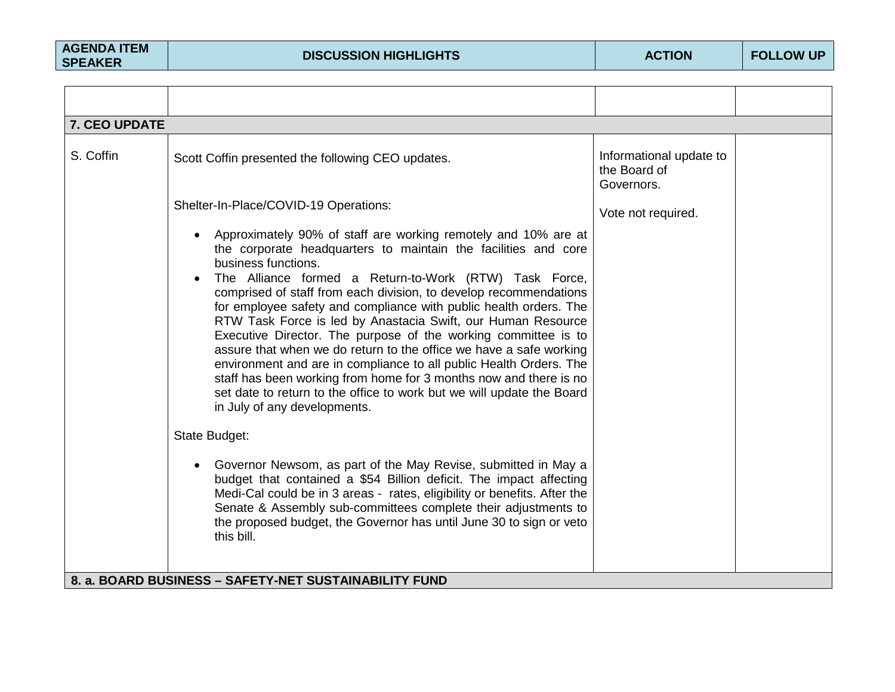| 7. CEO UPDATE |                                                                                                                                                                                                                                                                                                                                                                                                                                                                                                                                                                                                                                                                                                                                                                                                                                                                                                                                                                                                                                                                                                                                                                                                                     |                                                       |  |
|---------------|---------------------------------------------------------------------------------------------------------------------------------------------------------------------------------------------------------------------------------------------------------------------------------------------------------------------------------------------------------------------------------------------------------------------------------------------------------------------------------------------------------------------------------------------------------------------------------------------------------------------------------------------------------------------------------------------------------------------------------------------------------------------------------------------------------------------------------------------------------------------------------------------------------------------------------------------------------------------------------------------------------------------------------------------------------------------------------------------------------------------------------------------------------------------------------------------------------------------|-------------------------------------------------------|--|
| S. Coffin     | Scott Coffin presented the following CEO updates.                                                                                                                                                                                                                                                                                                                                                                                                                                                                                                                                                                                                                                                                                                                                                                                                                                                                                                                                                                                                                                                                                                                                                                   | Informational update to<br>the Board of<br>Governors. |  |
|               | Shelter-In-Place/COVID-19 Operations:                                                                                                                                                                                                                                                                                                                                                                                                                                                                                                                                                                                                                                                                                                                                                                                                                                                                                                                                                                                                                                                                                                                                                                               | Vote not required.                                    |  |
|               | Approximately 90% of staff are working remotely and 10% are at<br>the corporate headquarters to maintain the facilities and core<br>business functions.<br>The Alliance formed a Return-to-Work (RTW) Task Force,<br>comprised of staff from each division, to develop recommendations<br>for employee safety and compliance with public health orders. The<br>RTW Task Force is led by Anastacia Swift, our Human Resource<br>Executive Director. The purpose of the working committee is to<br>assure that when we do return to the office we have a safe working<br>environment and are in compliance to all public Health Orders. The<br>staff has been working from home for 3 months now and there is no<br>set date to return to the office to work but we will update the Board<br>in July of any developments.<br>State Budget:<br>Governor Newsom, as part of the May Revise, submitted in May a<br>budget that contained a \$54 Billion deficit. The impact affecting<br>Medi-Cal could be in 3 areas - rates, eligibility or benefits. After the<br>Senate & Assembly sub-committees complete their adjustments to<br>the proposed budget, the Governor has until June 30 to sign or veto<br>this bill. |                                                       |  |
|               | 8. a. BOARD BUSINESS - SAFETY-NET SUSTAINABILITY FUND                                                                                                                                                                                                                                                                                                                                                                                                                                                                                                                                                                                                                                                                                                                                                                                                                                                                                                                                                                                                                                                                                                                                                               |                                                       |  |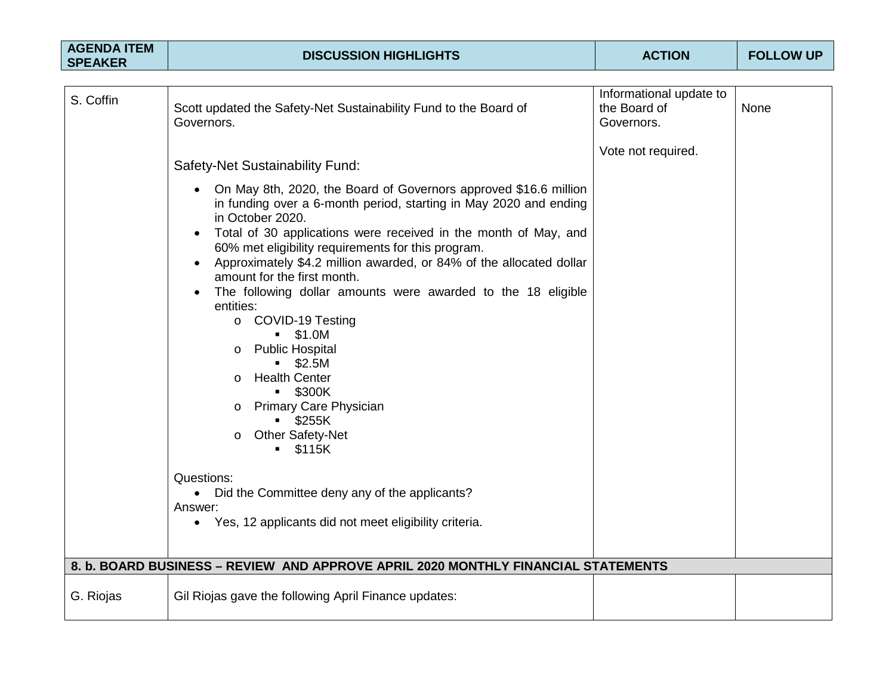| <b>AGENDA ITEM</b><br><b>SPEAKER</b> | <b>DISCUSSION HIGHLIGHTS</b>                                                                                                                                                                                                                                                                                                                                                                                                                                                                                                                                                                                                                                                                                                                            | <b>ACTION</b>              | <b>FOLLOW UP</b> |
|--------------------------------------|---------------------------------------------------------------------------------------------------------------------------------------------------------------------------------------------------------------------------------------------------------------------------------------------------------------------------------------------------------------------------------------------------------------------------------------------------------------------------------------------------------------------------------------------------------------------------------------------------------------------------------------------------------------------------------------------------------------------------------------------------------|----------------------------|------------------|
|                                      |                                                                                                                                                                                                                                                                                                                                                                                                                                                                                                                                                                                                                                                                                                                                                         | Informational update to    |                  |
| S. Coffin                            | Scott updated the Safety-Net Sustainability Fund to the Board of<br>Governors.                                                                                                                                                                                                                                                                                                                                                                                                                                                                                                                                                                                                                                                                          | the Board of<br>Governors. | None             |
|                                      | Safety-Net Sustainability Fund:                                                                                                                                                                                                                                                                                                                                                                                                                                                                                                                                                                                                                                                                                                                         | Vote not required.         |                  |
|                                      | On May 8th, 2020, the Board of Governors approved \$16.6 million<br>in funding over a 6-month period, starting in May 2020 and ending<br>in October 2020.<br>Total of 30 applications were received in the month of May, and<br>$\bullet$<br>60% met eligibility requirements for this program.<br>Approximately \$4.2 million awarded, or 84% of the allocated dollar<br>$\bullet$<br>amount for the first month.<br>The following dollar amounts were awarded to the 18 eligible<br>$\bullet$<br>entities:<br>o COVID-19 Testing<br>$- $1.0M$<br><b>Public Hospital</b><br>$\circ$<br>$-$ \$2.5M<br><b>Health Center</b><br>$\circ$<br><b>S300K</b><br><b>Primary Care Physician</b><br>O<br>$-$ \$255K<br><b>Other Safety-Net</b><br>O<br>$-$ \$115K |                            |                  |
|                                      | Questions:<br>Did the Committee deny any of the applicants?<br>$\bullet$<br>Answer:<br>Yes, 12 applicants did not meet eligibility criteria.<br>$\bullet$                                                                                                                                                                                                                                                                                                                                                                                                                                                                                                                                                                                               |                            |                  |
|                                      | 8. b. BOARD BUSINESS – REVIEW AND APPROVE APRIL 2020 MONTHLY FINANCIAL STATEMENTS                                                                                                                                                                                                                                                                                                                                                                                                                                                                                                                                                                                                                                                                       |                            |                  |
| G. Riojas                            | Gil Riojas gave the following April Finance updates:                                                                                                                                                                                                                                                                                                                                                                                                                                                                                                                                                                                                                                                                                                    |                            |                  |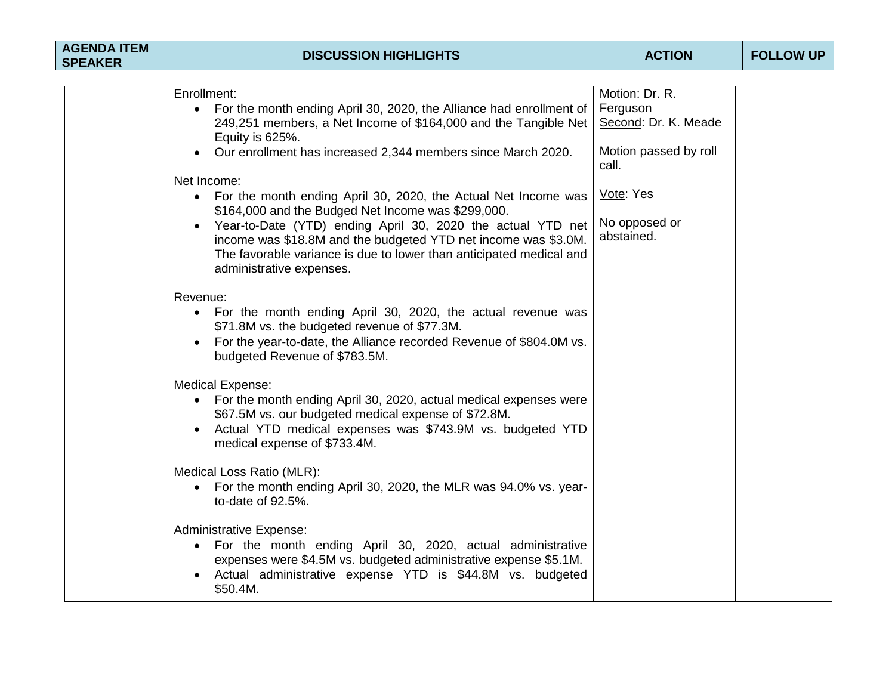| <b>AGENDA ITEM</b><br><b>SPEAKER</b> | <b>DISCUSSION HIGHLIGHTS</b>                                                                                                                                                                                                                                           | <b>ACTION</b>                                      | <b>FOLLOW UP</b> |
|--------------------------------------|------------------------------------------------------------------------------------------------------------------------------------------------------------------------------------------------------------------------------------------------------------------------|----------------------------------------------------|------------------|
|                                      |                                                                                                                                                                                                                                                                        |                                                    |                  |
|                                      | Enrollment:<br>• For the month ending April 30, 2020, the Alliance had enrollment of<br>249,251 members, a Net Income of \$164,000 and the Tangible Net<br>Equity is 625%.                                                                                             | Motion: Dr. R.<br>Ferguson<br>Second: Dr. K. Meade |                  |
|                                      | Our enrollment has increased 2,344 members since March 2020.                                                                                                                                                                                                           | Motion passed by roll<br>call.                     |                  |
|                                      | Net Income:<br>• For the month ending April 30, 2020, the Actual Net Income was<br>\$164,000 and the Budged Net Income was \$299,000.<br>Year-to-Date (YTD) ending April 30, 2020 the actual YTD net<br>income was \$18.8M and the budgeted YTD net income was \$3.0M. | Vote: Yes<br>No opposed or<br>abstained.           |                  |
|                                      | The favorable variance is due to lower than anticipated medical and<br>administrative expenses.                                                                                                                                                                        |                                                    |                  |
|                                      | Revenue:<br>• For the month ending April 30, 2020, the actual revenue was<br>\$71.8M vs. the budgeted revenue of \$77.3M.<br>• For the year-to-date, the Alliance recorded Revenue of \$804.0M vs.<br>budgeted Revenue of \$783.5M.                                    |                                                    |                  |
|                                      | <b>Medical Expense:</b><br>• For the month ending April 30, 2020, actual medical expenses were<br>\$67.5M vs. our budgeted medical expense of \$72.8M.<br>• Actual YTD medical expenses was \$743.9M vs. budgeted YTD<br>medical expense of \$733.4M.                  |                                                    |                  |
|                                      | Medical Loss Ratio (MLR):<br>• For the month ending April 30, 2020, the MLR was 94.0% vs. year-<br>to-date of 92.5%.                                                                                                                                                   |                                                    |                  |
|                                      | <b>Administrative Expense:</b><br>• For the month ending April 30, 2020, actual administrative<br>expenses were \$4.5M vs. budgeted administrative expense \$5.1M.<br>Actual administrative expense YTD is \$44.8M vs. budgeted<br>\$50.4M.                            |                                                    |                  |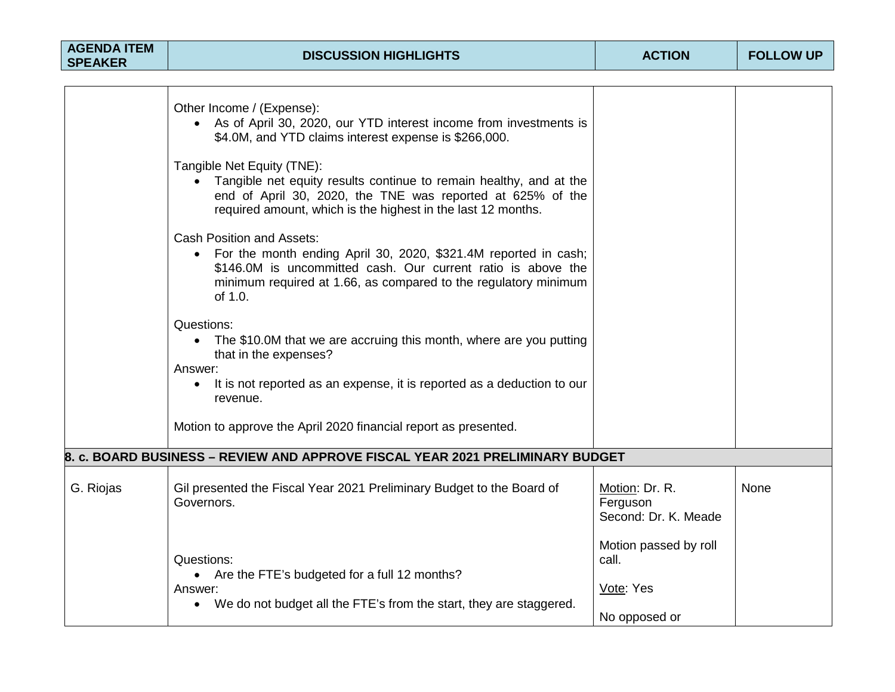| <b>AGENDA ITEM</b><br><b>SPEAKER</b> | <b>DISCUSSION HIGHLIGHTS</b>                                                                                                                                                                                                                                   | <b>ACTION</b>                                                | <b>FOLLOW UP</b> |
|--------------------------------------|----------------------------------------------------------------------------------------------------------------------------------------------------------------------------------------------------------------------------------------------------------------|--------------------------------------------------------------|------------------|
|                                      |                                                                                                                                                                                                                                                                |                                                              |                  |
|                                      | Other Income / (Expense):<br>• As of April 30, 2020, our YTD interest income from investments is<br>\$4.0M, and YTD claims interest expense is \$266,000.                                                                                                      |                                                              |                  |
|                                      | Tangible Net Equity (TNE):<br>Tangible net equity results continue to remain healthy, and at the<br>end of April 30, 2020, the TNE was reported at 625% of the<br>required amount, which is the highest in the last 12 months.                                 |                                                              |                  |
|                                      | <b>Cash Position and Assets:</b><br>For the month ending April 30, 2020, \$321.4M reported in cash;<br>$\bullet$<br>\$146.0M is uncommitted cash. Our current ratio is above the<br>minimum required at 1.66, as compared to the regulatory minimum<br>of 1.0. |                                                              |                  |
|                                      | Questions:<br>The \$10.0M that we are accruing this month, where are you putting<br>$\bullet$<br>that in the expenses?<br>Answer:<br>It is not reported as an expense, it is reported as a deduction to our<br>revenue.                                        |                                                              |                  |
|                                      | Motion to approve the April 2020 financial report as presented.                                                                                                                                                                                                |                                                              |                  |
|                                      | 8. c. BOARD BUSINESS – REVIEW AND APPROVE FISCAL YEAR 2021 PRELIMINARY BUDGET                                                                                                                                                                                  |                                                              |                  |
| G. Riojas                            | Gil presented the Fiscal Year 2021 Preliminary Budget to the Board of<br>Governors.                                                                                                                                                                            | Motion: Dr. R.<br>Ferguson<br>Second: Dr. K. Meade           | None             |
|                                      | Questions:<br>• Are the FTE's budgeted for a full 12 months?<br>Answer:<br>• We do not budget all the FTE's from the start, they are staggered.                                                                                                                | Motion passed by roll<br>call.<br>Vote: Yes<br>No opposed or |                  |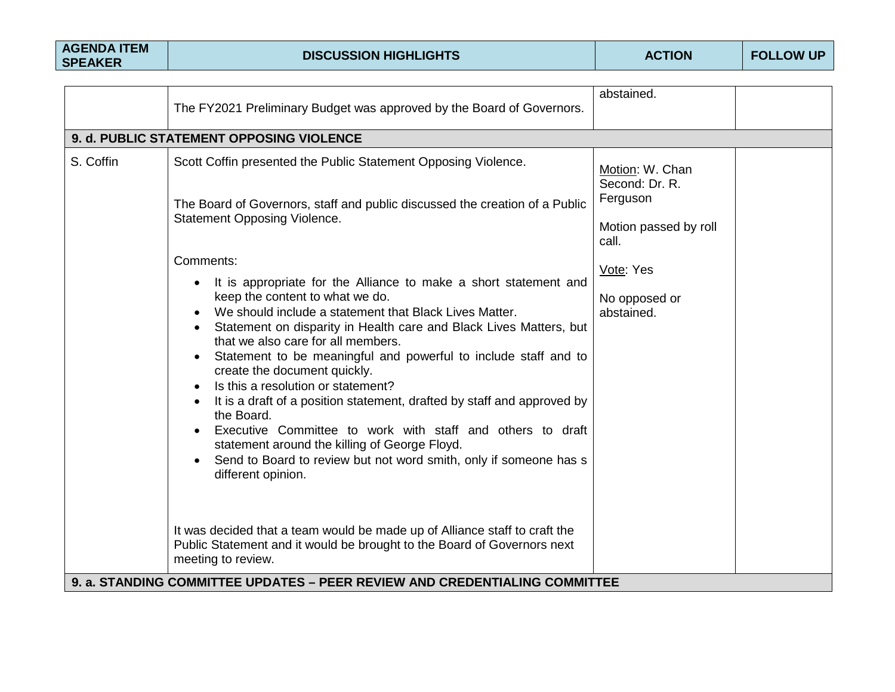| <b>AGENDA ITEM</b> |  |
|--------------------|--|
| <b>SPEAKER</b>     |  |

|           | The FY2021 Preliminary Budget was approved by the Board of Governors.                                                                                                                                                                                                                                                                                                                                                                                                                                                                                                                                                                                                                                                                                                                                                                                                                                                                                                                                                                                                                              | abstained.                                                                                                                  |  |
|-----------|----------------------------------------------------------------------------------------------------------------------------------------------------------------------------------------------------------------------------------------------------------------------------------------------------------------------------------------------------------------------------------------------------------------------------------------------------------------------------------------------------------------------------------------------------------------------------------------------------------------------------------------------------------------------------------------------------------------------------------------------------------------------------------------------------------------------------------------------------------------------------------------------------------------------------------------------------------------------------------------------------------------------------------------------------------------------------------------------------|-----------------------------------------------------------------------------------------------------------------------------|--|
|           | 9. d. PUBLIC STATEMENT OPPOSING VIOLENCE                                                                                                                                                                                                                                                                                                                                                                                                                                                                                                                                                                                                                                                                                                                                                                                                                                                                                                                                                                                                                                                           |                                                                                                                             |  |
| S. Coffin | Scott Coffin presented the Public Statement Opposing Violence.<br>The Board of Governors, staff and public discussed the creation of a Public<br>Statement Opposing Violence.<br>Comments:<br>It is appropriate for the Alliance to make a short statement and<br>keep the content to what we do.<br>We should include a statement that Black Lives Matter.<br>Statement on disparity in Health care and Black Lives Matters, but<br>that we also care for all members.<br>Statement to be meaningful and powerful to include staff and to<br>create the document quickly.<br>Is this a resolution or statement?<br>It is a draft of a position statement, drafted by staff and approved by<br>the Board.<br>Executive Committee to work with staff and others to draft<br>statement around the killing of George Floyd.<br>Send to Board to review but not word smith, only if someone has s<br>different opinion.<br>It was decided that a team would be made up of Alliance staff to craft the<br>Public Statement and it would be brought to the Board of Governors next<br>meeting to review. | Motion: W. Chan<br>Second: Dr. R.<br>Ferguson<br>Motion passed by roll<br>call.<br>Vote: Yes<br>No opposed or<br>abstained. |  |
|           | 9. a. STANDING COMMITTEE UPDATES – PEER REVIEW AND CREDENTIALING COMMITTEE                                                                                                                                                                                                                                                                                                                                                                                                                                                                                                                                                                                                                                                                                                                                                                                                                                                                                                                                                                                                                         |                                                                                                                             |  |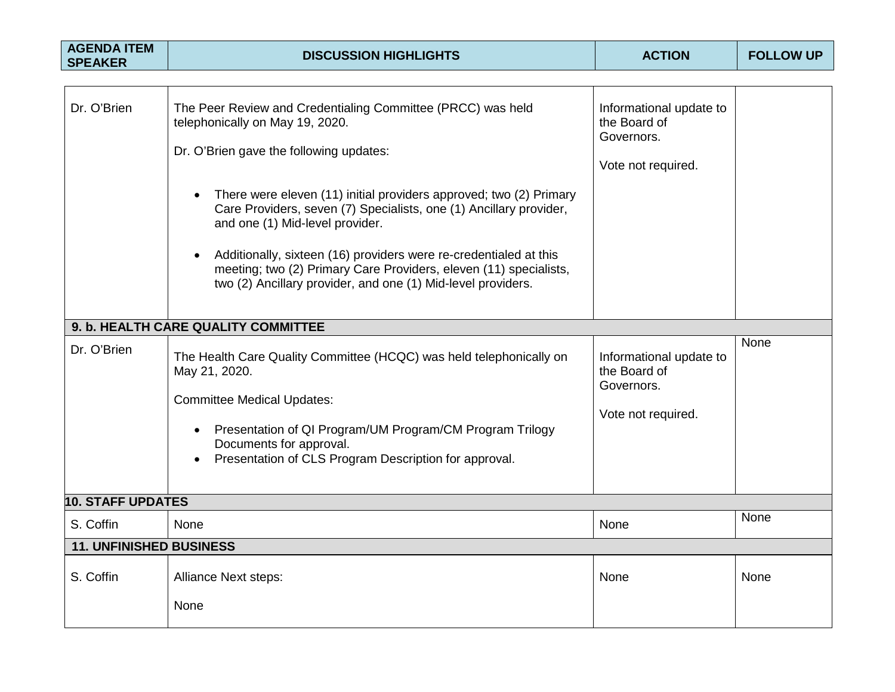| <b>AGENDA ITEM</b><br><b>SPEAKER</b> | <b>DISCUSSION HIGHLIGHTS</b>                                                                                                                                                                                                                                                                                                                                                                                                                                                                                                       | <b>ACTION</b>                                                               | <b>FOLLOW UP</b> |
|--------------------------------------|------------------------------------------------------------------------------------------------------------------------------------------------------------------------------------------------------------------------------------------------------------------------------------------------------------------------------------------------------------------------------------------------------------------------------------------------------------------------------------------------------------------------------------|-----------------------------------------------------------------------------|------------------|
|                                      |                                                                                                                                                                                                                                                                                                                                                                                                                                                                                                                                    |                                                                             |                  |
| Dr. O'Brien                          | The Peer Review and Credentialing Committee (PRCC) was held<br>telephonically on May 19, 2020.<br>Dr. O'Brien gave the following updates:<br>There were eleven (11) initial providers approved; two (2) Primary<br>Care Providers, seven (7) Specialists, one (1) Ancillary provider,<br>and one (1) Mid-level provider.<br>Additionally, sixteen (16) providers were re-credentialed at this<br>meeting; two (2) Primary Care Providers, eleven (11) specialists,<br>two (2) Ancillary provider, and one (1) Mid-level providers. | Informational update to<br>the Board of<br>Governors.<br>Vote not required. |                  |
|                                      |                                                                                                                                                                                                                                                                                                                                                                                                                                                                                                                                    |                                                                             |                  |
|                                      | 9. b. HEALTH CARE QUALITY COMMITTEE                                                                                                                                                                                                                                                                                                                                                                                                                                                                                                |                                                                             |                  |
| Dr. O'Brien                          | The Health Care Quality Committee (HCQC) was held telephonically on<br>May 21, 2020.<br><b>Committee Medical Updates:</b><br>Presentation of QI Program/UM Program/CM Program Trilogy<br>Documents for approval.<br>Presentation of CLS Program Description for approval.                                                                                                                                                                                                                                                          | Informational update to<br>the Board of<br>Governors.<br>Vote not required. | None             |
| <b>10. STAFF UPDATES</b>             |                                                                                                                                                                                                                                                                                                                                                                                                                                                                                                                                    |                                                                             |                  |
| S. Coffin                            | None                                                                                                                                                                                                                                                                                                                                                                                                                                                                                                                               | None                                                                        | None             |
| <b>11. UNFINISHED BUSINESS</b>       |                                                                                                                                                                                                                                                                                                                                                                                                                                                                                                                                    |                                                                             |                  |
| S. Coffin                            | Alliance Next steps:<br>None                                                                                                                                                                                                                                                                                                                                                                                                                                                                                                       | <b>None</b>                                                                 | None             |